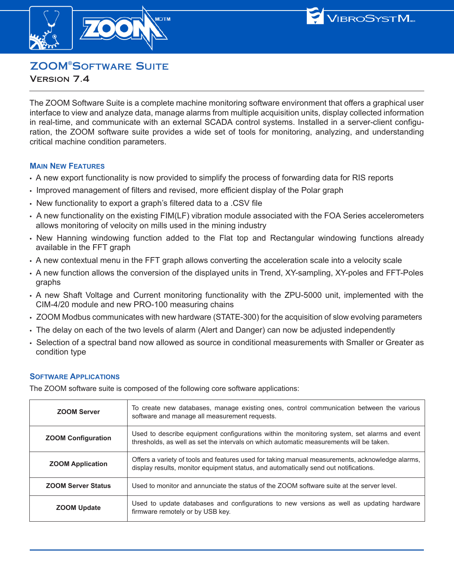



# **ZOOM<sup>®</sup>SOFTWARE SUITE**

VERSION 7.4

The ZOOM Software Suite is a complete machine monitoring software environment that offers a graphical user interface to view and analyze data, manage alarms from multiple acquisition units, display collected information in real-time, and communicate with an external SCADA control systems. Installed in a server-client configuration, the ZOOM software suite provides a wide set of tools for monitoring, analyzing, and understanding critical machine condition parameters.

#### **MAIN NEW FEATURES**

- **•** A new export functionality is now provided to simplify the process of forwarding data for RIS reports
- **•** Improved management of filters and revised, more efficient display of the Polar graph
- **•** New functionality to export a graph's filtered data to a .CSV file
- **•** A new functionality on the existing FIM(LF) vibration module associated with the FOA Series accelerometers allows monitoring of velocity on mills used in the mining industry
- **•** New Hanning windowing function added to the Flat top and Rectangular windowing functions already available in the FFT graph
- **•** A new contextual menu in the FFT graph allows converting the acceleration scale into a velocity scale
- **•** A new function allows the conversion of the displayed units in Trend, XY-sampling, XY-poles and FFT-Poles graphs
- **•** A new Shaft Voltage and Current monitoring functionality with the ZPU-5000 unit, implemented with the CIM-4/20 module and new PRO-100 measuring chains
- **•** ZOOM Modbus communicates with new hardware (STATE-300) for the acquisition of slow evolving parameters
- **•** The delay on each of the two levels of alarm (Alert and Danger) can now be adjusted independently
- **•** Selection of a spectral band now allowed as source in conditional measurements with Smaller or Greater as condition type

## **SOFTWARE APPLICATIONS**

The ZOOM software suite is composed of the following core software applications:

| <b>ZOOM Server</b>        | To create new databases, manage existing ones, control communication between the various<br>software and manage all measurement requests.                                               |
|---------------------------|-----------------------------------------------------------------------------------------------------------------------------------------------------------------------------------------|
| <b>ZOOM Configuration</b> | Used to describe equipment configurations within the monitoring system, set alarms and event<br>thresholds, as well as set the intervals on which automatic measurements will be taken. |
| <b>ZOOM Application</b>   | Offers a variety of tools and features used for taking manual measurements, acknowledge alarms,<br>display results, monitor equipment status, and automatically send out notifications. |
| <b>ZOOM Server Status</b> | Used to monitor and annunciate the status of the ZOOM software suite at the server level.                                                                                               |
| <b>ZOOM Update</b>        | Used to update databases and configurations to new versions as well as updating hardware<br>firmware remotely or by USB key.                                                            |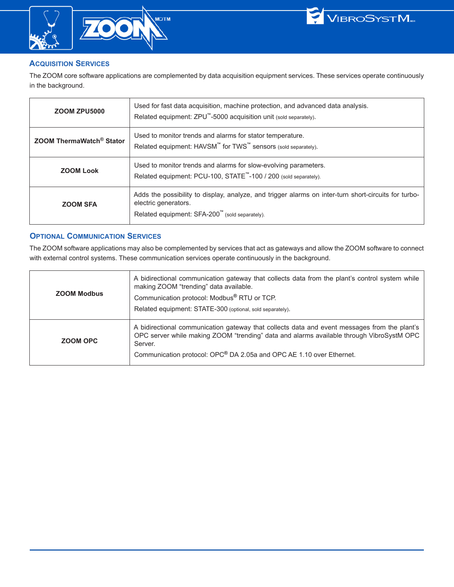





#### **ACQUISITION SERVICES**

The ZOOM core software applications are complemented by data acquisition equipment services. These services operate continuously in the background .

| <b>ZOOM ZPU5000</b>                  | Used for fast data acquisition, machine protection, and advanced data analysis.<br>Related equipment: ZPU™-5000 acquisition unit (sold separately).                            |
|--------------------------------------|--------------------------------------------------------------------------------------------------------------------------------------------------------------------------------|
| ZOOM ThermaWatch <sup>®</sup> Stator | Used to monitor trends and alarms for stator temperature.<br>Related equipment: HAVSM <sup>™</sup> for TWS <sup>™</sup> sensors (sold separately).                             |
| <b>ZOOM Look</b>                     | Used to monitor trends and alarms for slow-evolving parameters.<br>Related equipment: PCU-100, STATE <sup>™</sup> -100 / 200 (sold separately).                                |
| <b>ZOOM SFA</b>                      | Adds the possibility to display, analyze, and trigger alarms on inter-turn short-circuits for turbo-<br>electric generators.<br>Related equipment: SFA-200™ (sold separately). |

#### **OPTIONAL COMMUNICATION SERVICES**

The ZOOM software applications may also be complemented by services that act as gateways and allow the ZOOM software to connect with external control systems. These communication services operate continuously in the background.

| <b>ZOOM Modbus</b> | A bidirectional communication gateway that collects data from the plant's control system while<br>making ZOOM "trending" data available.<br>Communication protocol: Modbus <sup>®</sup> RTU or TCP.<br>Related equipment: STATE-300 (optional, sold separately).            |
|--------------------|-----------------------------------------------------------------------------------------------------------------------------------------------------------------------------------------------------------------------------------------------------------------------------|
| ZOOM OPC           | A bidirectional communication gateway that collects data and event messages from the plant's<br>OPC server while making ZOOM "trending" data and alarms available through VibroSystM OPC<br>Server.<br>Communication protocol: OPC® DA 2.05a and OPC AE 1.10 over Ethernet. |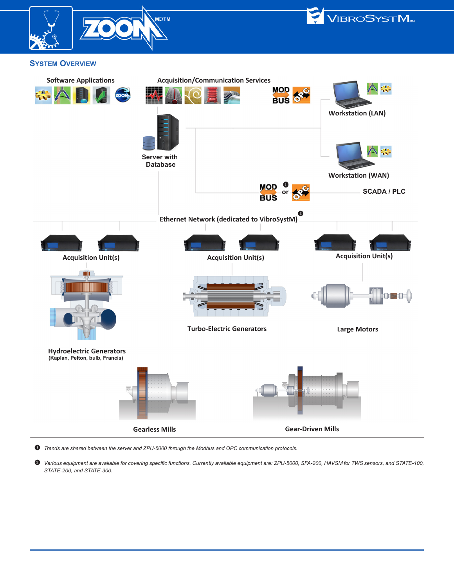



#### **SYSTEM OVERVIEW**



 $\bullet$  *Trends are shared between the server and ZPU-5000 through the Modbus and OPC communication protocols.* 

2 *Various equipment are available for covering specific functions. Currently available equipment are: ZPU-5000, SFA-200, HAVSM for TWS sensors, and STATE-100, STATE-200, and STATE-300.*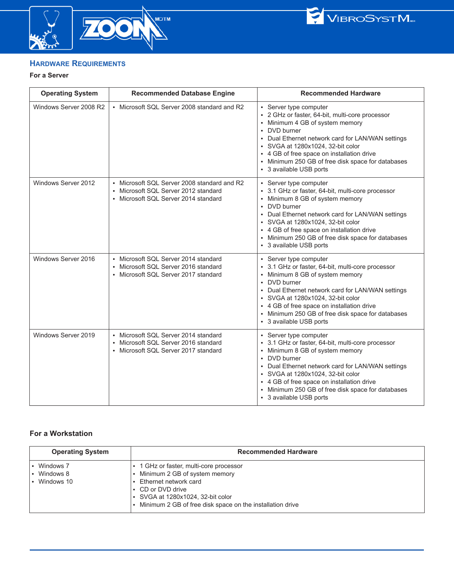

MC/TM



## **HARDWARE REQUIREMENTS**

#### **For a Server**

| <b>Operating System</b> | <b>Recommended Database Engine</b>                                                                                          | <b>Recommended Hardware</b>                                                                                                                                                                                                                                                                                                                            |
|-------------------------|-----------------------------------------------------------------------------------------------------------------------------|--------------------------------------------------------------------------------------------------------------------------------------------------------------------------------------------------------------------------------------------------------------------------------------------------------------------------------------------------------|
| Windows Server 2008 R2  | • Microsoft SQL Server 2008 standard and R2                                                                                 | • Server type computer<br>• 2 GHz or faster, 64-bit, multi-core processor<br>• Minimum 4 GB of system memory<br>• DVD burner<br>• Dual Ethernet network card for LAN/WAN settings<br>• SVGA at 1280x1024, 32-bit color<br>• 4 GB of free space on installation drive<br>• Minimum 250 GB of free disk space for databases<br>• 3 available USB ports   |
| Windows Server 2012     | • Microsoft SQL Server 2008 standard and R2<br>• Microsoft SQL Server 2012 standard<br>• Microsoft SQL Server 2014 standard | • Server type computer<br>• 3.1 GHz or faster, 64-bit, multi-core processor<br>• Minimum 8 GB of system memory<br>• DVD burner<br>• Dual Ethernet network card for LAN/WAN settings<br>• SVGA at 1280x1024, 32-bit color<br>• 4 GB of free space on installation drive<br>• Minimum 250 GB of free disk space for databases<br>• 3 available USB ports |
| Windows Server 2016     | • Microsoft SQL Server 2014 standard<br>• Microsoft SQL Server 2016 standard<br>• Microsoft SQL Server 2017 standard        | • Server type computer<br>• 3.1 GHz or faster, 64-bit, multi-core processor<br>• Minimum 8 GB of system memory<br>• DVD burner<br>• Dual Ethernet network card for LAN/WAN settings<br>• SVGA at 1280x1024, 32-bit color<br>• 4 GB of free space on installation drive<br>• Minimum 250 GB of free disk space for databases<br>• 3 available USB ports |
| Windows Server 2019     | • Microsoft SQL Server 2014 standard<br>• Microsoft SQL Server 2016 standard<br>• Microsoft SQL Server 2017 standard        | • Server type computer<br>• 3.1 GHz or faster, 64-bit, multi-core processor<br>• Minimum 8 GB of system memory<br>• DVD burner<br>• Dual Ethernet network card for LAN/WAN settings<br>• SVGA at 1280x1024, 32-bit color<br>• 4 GB of free space on installation drive<br>• Minimum 250 GB of free disk space for databases<br>• 3 available USB ports |

# **For a Workstation**

| <b>Operating System</b>              | <b>Recommended Hardware</b>                                                                                                                                                                                                |
|--------------------------------------|----------------------------------------------------------------------------------------------------------------------------------------------------------------------------------------------------------------------------|
| Windows 7<br>Windows 8<br>Windows 10 | • 1 GHz or faster, multi-core processor<br>Minimum 2 GB of system memory<br>Ethernet network card<br>• CD or DVD drive<br>• SVGA at 1280x1024, 32-bit color<br>• Minimum 2 GB of free disk space on the installation drive |